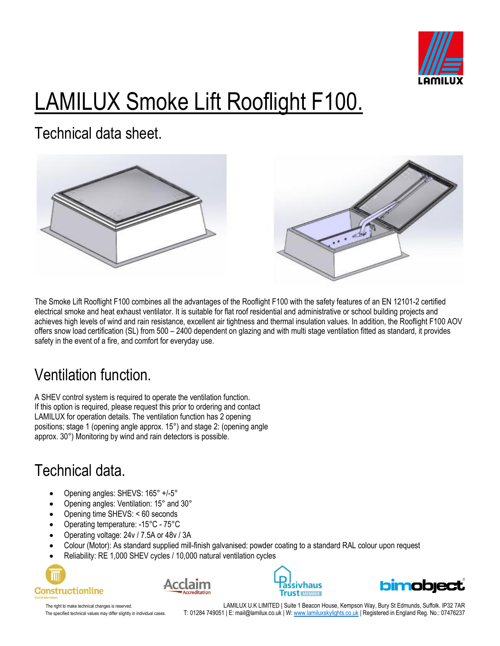

# LAMILUX Smoke Lift Rooflight F100.

Technical data sheet.





The Smoke Lift Rooflight F100 combines all the advantages of the Rooflight F100 with the safety features of an EN 12101-2 certified electrical smoke and heat exhaust ventilator. It is suitable for flat roof residential and administrative or school building projects and achieves high levels of wind and rain resistance, excellent air tightness and thermal insulation values. In addition, the Rooflight F100 AOV offers snow load certification (SL) from 500 – 2400 dependent on glazing and with multi stage ventilation fitted as standard, it provides safety in the event of a fire, and comfort for everyday use.

### Ventilation function.

A SHEV control system is required to operate the ventilation function. If this option is required, please request this prior to ordering and contact LAMILUX for operation details. The ventilation function has 2 opening positions; stage 1 (opening angle approx. 15°) and stage 2: (opening angle approx. 30°) Monitoring by wind and rain detectors is possible.

### Technical data.

- Opening angles: SHEVS: 165° +/-5°
- Opening angles: Ventilation: 15° and 30°
- Opening time SHEVS: < 60 seconds
- Operating temperature: -15°C 75°C
- Operating voltage: 24v / 7.5A or 48v / 3A
- Colour (Motor): As standard supplied mill-finish galvanised: powder coating to a standard RAL colour upon request
- Reliability: RE 1,000 SHEV cycles / 10,000 natural ventilation cycles









The right to make technical changes is reserved. LAMILUX U.K LIMITED | Suite 1 Beacon House, Kempson Way, Bury St Edmunds, Suffolk. IP32 7AR The specified technical values may differ slightly in individual cases. T: 01284 749051 | E: mail@lamilux.co.uk | W[: www.lamiluxskylights.co.uk](http://www.lamiluxskylights.co.uk/) | Registered in England Reg. No.: 07476237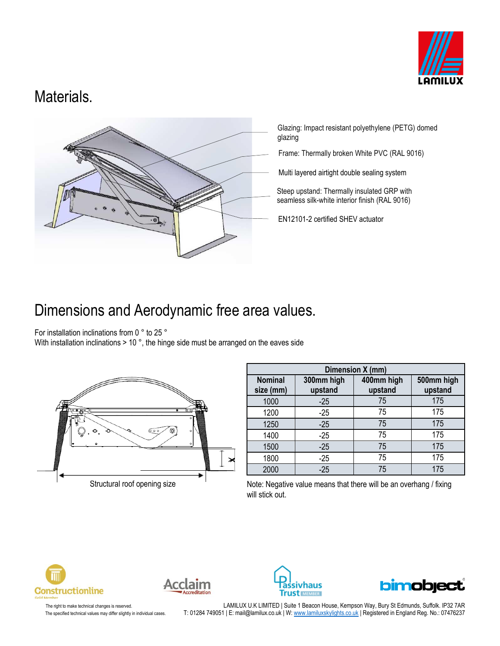

### Materials.



Glazing: Impact resistant polyethylene (PETG) domed glazing

Frame: Thermally broken White PVC (RAL 9016)

Multi layered airtight double sealing system

Steep upstand: Thermally insulated GRP with seamless silk-white interior finish (RAL 9016)

EN12101-2 certified SHEV actuator

### Dimensions and Aerodynamic free area values.

For installation inclinations from 0 ° to 25 °

With installation inclinations > 10 °, the hinge side must be arranged on the eaves side



| Dimension X (mm)            |                       |                       |                       |  |
|-----------------------------|-----------------------|-----------------------|-----------------------|--|
| <b>Nominal</b><br>size (mm) | 300mm high<br>upstand | 400mm high<br>upstand | 500mm high<br>upstand |  |
| 1000                        | $-25$                 | 75                    | 175                   |  |
| 1200                        | $-25$                 | 75                    | 175                   |  |
| 1250                        | $-25$                 | 75                    | 175                   |  |
| 1400                        | $-25$                 | 75                    | 175                   |  |
| 1500                        | $-25$                 | 75                    | 175                   |  |
| 1800                        | $-25$                 | 75                    | 175                   |  |
| 2000                        | $-25$                 | 75                    | 175                   |  |

Note: Negative value means that there will be an overhang / fixing will stick out.









The right to make technical changes is reserved. LAMILUX U.K LIMITED | Suite 1 Beacon House, Kempson Way, Bury St Edmunds, Suffolk. IP32 7AR The specified technical values may differ slightly in individual cases. T: 01284 749051 | E: mail@lamilux.co.uk | W[: www.lamiluxskylights.co.uk](http://www.lamiluxskylights.co.uk/) | Registered in England Reg. No.: 07476237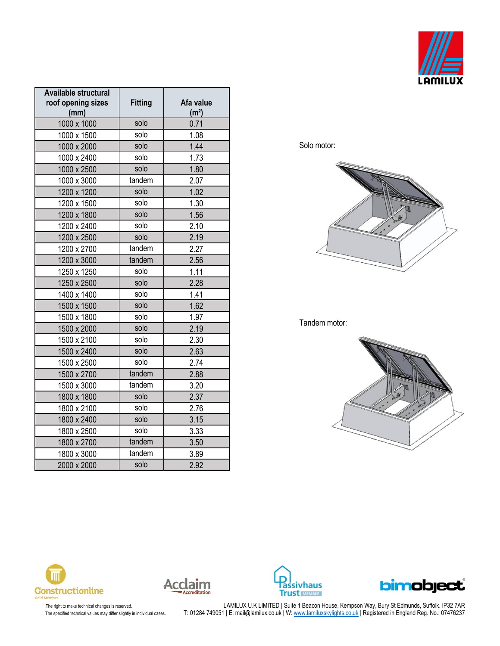

| Available structural<br>roof opening sizes<br>(mm) | <b>Fitting</b> | Afa value<br>(m <sup>2</sup> ) |
|----------------------------------------------------|----------------|--------------------------------|
| 1000 x 1000                                        | solo           | 0.71                           |
| 1000 x 1500                                        | solo           | 1.08                           |
| 1000 x 2000                                        | solo           | 1.44                           |
| 1000 x 2400                                        | solo           | 1.73                           |
| 1000 x 2500                                        | solo           | 1.80                           |
| 1000 x 3000                                        | tandem         | 2.07                           |
| 1200 x 1200                                        | solo           | 1.02                           |
| 1200 x 1500                                        | solo           | 1.30                           |
| 1200 x 1800                                        | solo           | 1.56                           |
| 1200 x 2400                                        | solo           | 2.10                           |
| 1200 x 2500                                        | solo           | 2.19                           |
| 1200 x 2700                                        | tandem         | 2.27                           |
| 1200 x 3000                                        | tandem         | 2.56                           |
| 1250 x 1250                                        | solo           | 1.11                           |
| 1250 x 2500                                        | solo           | 2.28                           |
| 1400 x 1400                                        | solo           | 1.41                           |
| 1500 x 1500                                        | solo           | 1.62                           |
| 1500 x 1800                                        | solo           | 1.97                           |
| 1500 x 2000                                        | solo           | 2.19                           |
| 1500 x 2100                                        | solo           | 2.30                           |
| 1500 x 2400                                        | solo           | 2.63                           |
| 1500 x 2500                                        | solo           | 2.74                           |
| 1500 x 2700                                        | tandem         | 2.88                           |
| 1500 x 3000                                        | tandem         | 3.20                           |
| 1800 x 1800                                        | solo           | 2.37                           |
| 1800 x 2100                                        | solo           | 2.76                           |
| 1800 x 2400                                        | solo           | 3.15                           |
| 1800 x 2500                                        | solo           | 3.33                           |
| 1800 x 2700                                        | tandem         | 3.50                           |
| 1800 x 3000                                        | tandem         | 3.89                           |
| 2000 x 2000                                        | solo           | 2.92                           |

Solo motor:



#### Tandem motor:











The right to make technical changes is reserved. LAMILUX U.K LIMITED | Suite 1 Beacon House, Kempson Way, Bury St Edmunds, Suffolk. IP32 7AR The specified technical values may differ slightly in individual cases. T: 01284 749051 | E: mail@lamilux.co.uk | W: <u>www.lamiluxskylights.co.uk</u> | Registered in England Reg. No.: 07476237